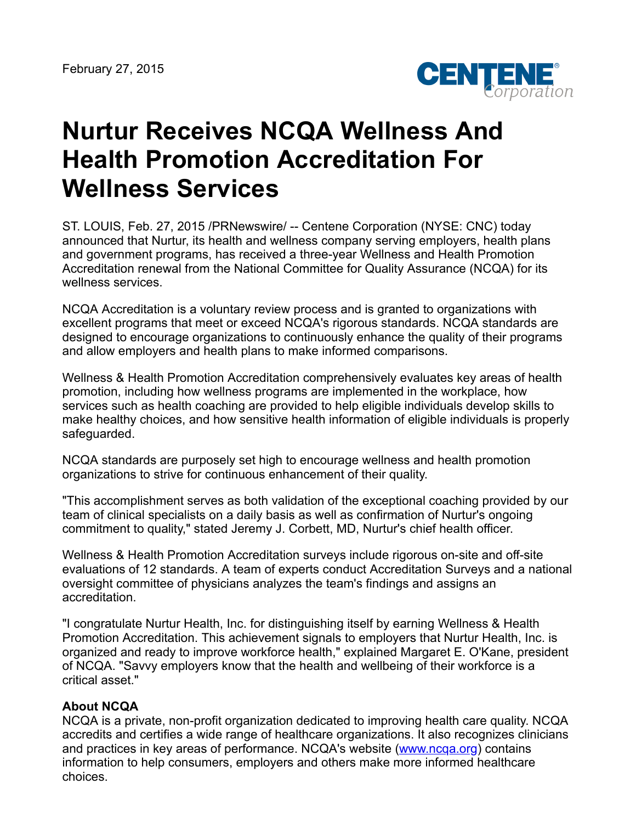

## **Nurtur Receives NCQA Wellness And Health Promotion Accreditation For Wellness Services**

ST. LOUIS, Feb. 27, 2015 /PRNewswire/ -- Centene Corporation (NYSE: CNC) today announced that Nurtur, its health and wellness company serving employers, health plans and government programs, has received a three-year Wellness and Health Promotion Accreditation renewal from the National Committee for Quality Assurance (NCQA) for its wellness services.

NCQA Accreditation is a voluntary review process and is granted to organizations with excellent programs that meet or exceed NCQA's rigorous standards. NCQA standards are designed to encourage organizations to continuously enhance the quality of their programs and allow employers and health plans to make informed comparisons.

Wellness & Health Promotion Accreditation comprehensively evaluates key areas of health promotion, including how wellness programs are implemented in the workplace, how services such as health coaching are provided to help eligible individuals develop skills to make healthy choices, and how sensitive health information of eligible individuals is properly safeguarded.

NCQA standards are purposely set high to encourage wellness and health promotion organizations to strive for continuous enhancement of their quality.

"This accomplishment serves as both validation of the exceptional coaching provided by our team of clinical specialists on a daily basis as well as confirmation of Nurtur's ongoing commitment to quality," stated Jeremy J. Corbett, MD, Nurtur's chief health officer.

Wellness & Health Promotion Accreditation surveys include rigorous on-site and off-site evaluations of 12 standards. A team of experts conduct Accreditation Surveys and a national oversight committee of physicians analyzes the team's findings and assigns an accreditation.

"I congratulate Nurtur Health, Inc. for distinguishing itself by earning Wellness & Health Promotion Accreditation. This achievement signals to employers that Nurtur Health, Inc. is organized and ready to improve workforce health," explained Margaret E. O'Kane, president of NCQA. "Savvy employers know that the health and wellbeing of their workforce is a critical asset."

## **About NCQA**

NCQA is a private, non-profit organization dedicated to improving health care quality. NCQA accredits and certifies a wide range of healthcare organizations. It also recognizes clinicians and practices in key areas of performance. NCQA's website ([www.ncqa.org\)](http://www.ncqa.org/) contains information to help consumers, employers and others make more informed healthcare choices.